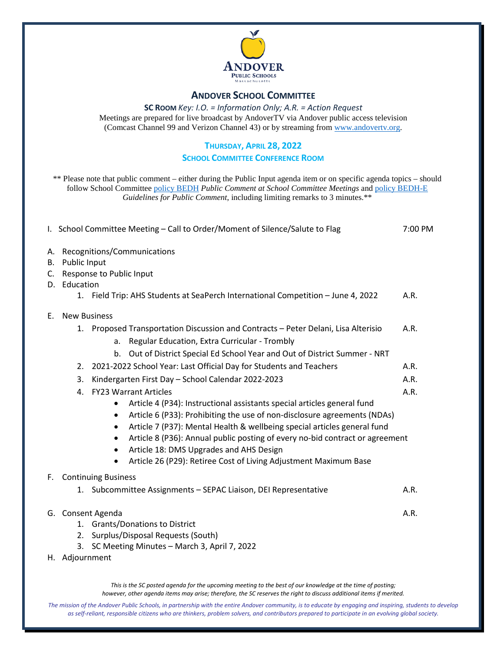

### **ANDOVER SCHOOL COMMITTEE**

**SC ROOM** *Key: I.O. = Information Only; A.R. = Action Request* Meetings are prepared for live broadcast by AndoverTV via Andover public access television (Comcast Channel 99 and Verizon Channel 43) or by streaming from [www.andovertv.org.](http://www.andovertv.org/)

### **THURSDAY, APRIL 28, 2022**

#### **SCHOOL COMMITTEE CONFERENCE ROOM**

\*\* Please note that public comment – either during the Public Input agenda item or on specific agenda topics – should follow School Committee [policy BEDH](https://z2policy.ctspublish.com/masc/browse/andoverset/andover/BEDH) *Public Comment at School Committee Meetings* an[d policy BEDH-E](https://z2policy.ctspublish.com/masc/browse/andoverset/andover/BEDH-E/z2Code_BEDH-E) *Guidelines for Public Comment*, including limiting remarks to 3 minutes.\*\*

|                | I. School Committee Meeting - Call to Order/Moment of Silence/Salute to Flag                                                                                                                                                                                                                                                                                                                                                                                                                        | 7:00 PM |  |  |  |
|----------------|-----------------------------------------------------------------------------------------------------------------------------------------------------------------------------------------------------------------------------------------------------------------------------------------------------------------------------------------------------------------------------------------------------------------------------------------------------------------------------------------------------|---------|--|--|--|
| А.<br>В.<br>C. | Recognitions/Communications<br>Public Input<br>Response to Public Input<br>D. Education                                                                                                                                                                                                                                                                                                                                                                                                             |         |  |  |  |
|                | 1. Field Trip: AHS Students at SeaPerch International Competition - June 4, 2022                                                                                                                                                                                                                                                                                                                                                                                                                    | A.R.    |  |  |  |
| Е.             | <b>New Business</b>                                                                                                                                                                                                                                                                                                                                                                                                                                                                                 |         |  |  |  |
|                | 1. Proposed Transportation Discussion and Contracts - Peter Delani, Lisa Alterisio<br>Regular Education, Extra Curricular - Trombly<br>a.<br>Out of District Special Ed School Year and Out of District Summer - NRT<br>$b_{-}$                                                                                                                                                                                                                                                                     | A.R.    |  |  |  |
|                | 2. 2021-2022 School Year: Last Official Day for Students and Teachers                                                                                                                                                                                                                                                                                                                                                                                                                               | A.R.    |  |  |  |
|                | Kindergarten First Day - School Calendar 2022-2023<br>3.                                                                                                                                                                                                                                                                                                                                                                                                                                            | A.R.    |  |  |  |
|                | 4. FY23 Warrant Articles<br>Article 4 (P34): Instructional assistants special articles general fund<br>Article 6 (P33): Prohibiting the use of non-disclosure agreements (NDAs)<br>$\bullet$<br>Article 7 (P37): Mental Health & wellbeing special articles general fund<br>٠<br>Article 8 (P36): Annual public posting of every no-bid contract or agreement<br>$\bullet$<br>Article 18: DMS Upgrades and AHS Design<br>٠<br>Article 26 (P29): Retiree Cost of Living Adjustment Maximum Base<br>٠ | A.R.    |  |  |  |
|                | F. Continuing Business                                                                                                                                                                                                                                                                                                                                                                                                                                                                              |         |  |  |  |
|                | 1. Subcommittee Assignments - SEPAC Liaison, DEI Representative                                                                                                                                                                                                                                                                                                                                                                                                                                     | A.R.    |  |  |  |
|                | G. Consent Agenda<br>A.R.<br><b>Grants/Donations to District</b><br>1.<br>2. Surplus/Disposal Requests (South)<br>3. SC Meeting Minutes - March 3, April 7, 2022                                                                                                                                                                                                                                                                                                                                    |         |  |  |  |
|                | H. Adjournment                                                                                                                                                                                                                                                                                                                                                                                                                                                                                      |         |  |  |  |

*This is the SC posted agenda for the upcoming meeting to the best of our knowledge at the time of posting; however, other agenda items may arise; therefore, the SC reserves the right to discuss additional items if merited.*

The mission of the Andover Public Schools, in partnership with the entire Andover community, is to educate by engaging and inspiring, students to develop *as self-reliant, responsible citizens who are thinkers, problem solvers, and contributors prepared to participate in an evolving global society.*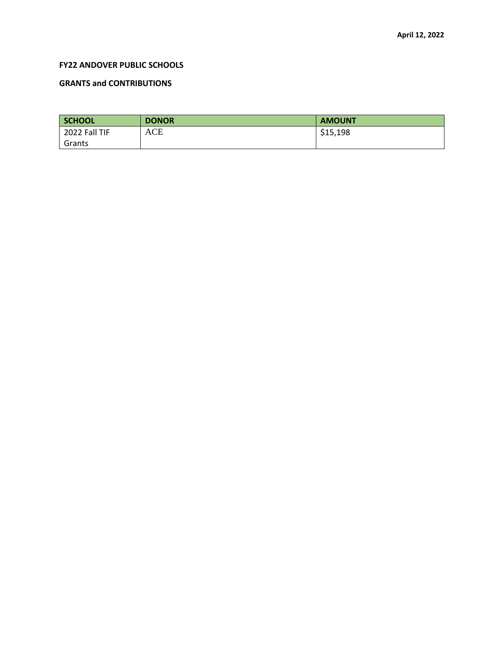### **FY22 ANDOVER PUBLIC SCHOOLS**

### **GRANTS and CONTRIBUTIONS**

| SCHOOL        | <b>DONOR</b> | <b>AMOUNT</b> |
|---------------|--------------|---------------|
| 2022 Fall TIF | ACE          | \$15,198      |
| Grants        |              |               |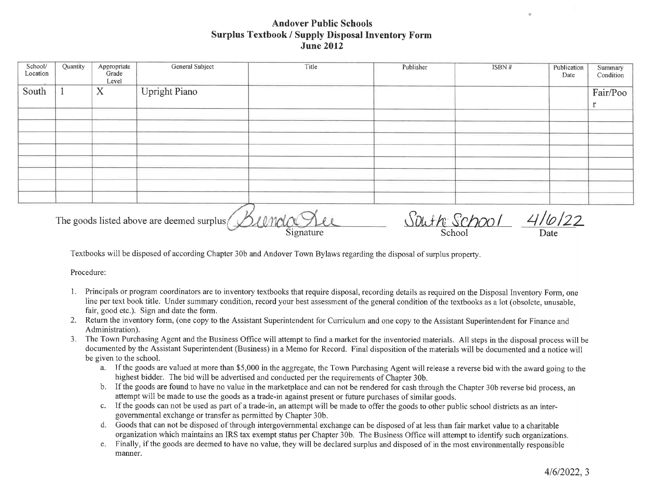# **Andover Public Schools Surplus Textbook / Supply Disposal Inventory Form June 2012**

| School/<br>Location | Quantity | Appropriate<br>Grade | General Subject                            | Title | Publisher    | ISBN# | Publication | Summary   |
|---------------------|----------|----------------------|--------------------------------------------|-------|--------------|-------|-------------|-----------|
|                     |          | Level                |                                            |       |              |       | Date        | Condition |
| South               |          | X                    | <b>Upright Piano</b>                       |       |              |       |             | Fair/Poo  |
|                     |          |                      |                                            |       |              |       |             |           |
|                     |          |                      |                                            |       |              |       |             |           |
|                     |          |                      |                                            |       |              |       |             |           |
|                     |          |                      |                                            |       |              |       |             |           |
|                     |          |                      |                                            |       |              |       |             |           |
|                     |          |                      |                                            |       |              |       |             |           |
|                     |          |                      |                                            |       |              |       |             |           |
|                     |          |                      |                                            |       |              |       |             |           |
|                     |          |                      |                                            |       |              |       |             |           |
|                     |          |                      |                                            |       |              |       |             |           |
|                     |          |                      |                                            |       |              |       |             |           |
|                     |          |                      | The goods listed above are deemed surplus/ |       | South School |       | 10/22       |           |

The goods listed above are deemed surplus

Soluth SChool School

**Date** 

Textbooks will be disposed of according Chapter 30b and Andover Town Bylaws regarding the disposal of surplus property.

Signature

Procedure:

- 1. Principals or program coordinators are to inventory textbooks that require disposal, recording details as required on the Disposal Inventory Form, one line per text book title. Under summary condition, record your best assessment of the general condition of the textbooks as a lot (obsolete, unusable, fair, good etc.). Sign and date the form.
- 2. Return the inventory form, (one copy to the Assistant Superintendent for Curriculum and one copy to the Assistant Superintendent for Finance and Administration).
- 3. The Town Purchasing Agent and the Business Office will attempt to find a market for the inventoried materials. All steps in the disposal process will be documented by the Assistant Superintendent (Business) in a Memo for Record. Final disposition of the materials will be documented and a notice will be given to the school.
	- a. If the goods are valued at more than \$5,000 in the aggregate, the Town Purchasing Agent will release a reverse bid with the award going to the highest bidder. The bid will be advertised and conducted per the requirements of Chapter 30b.
	- b. If the goods are found to have no value in the marketplace and can not be rendered for cash through the Chapter 30b reverse bid process, an attempt will be made to use the goods as a trade-in against present or future purchases of similar goods.
	- c. If the goods can not be used as part of a trade-in, an attempt will be made to offer the goods to other public school districts as an intergovernmental exchange or transfer as permitted by Chapter 30b.
	- d. Goods that can not be disposed of through intergovernmental exchange can be disposed of at less than fair market value to a charitable organization which maintains an IRS tax exempt status per Chapter 30b. The Business Office will attempt to identify such organizations.
	- e. Finally, if the goods are deemed to have no value, they will be declared surplus and disposed of in the most environmentally responsible manner.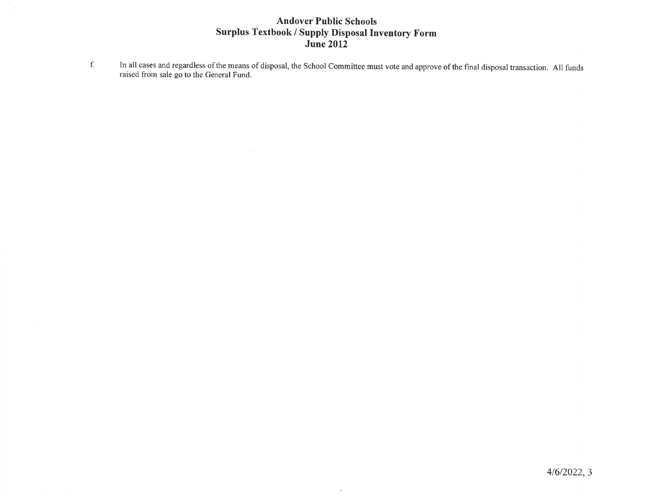# **Andover Public Schools Surplus Textbook / Supply Disposal Inventory Form<br>June 2012**

In all cases and regardless of the means of disposal, the School Committee must vote and approve of the final disposal transaction. All funds raised from sale go to the General Fund.  $\mathbf f.$ 

 $\mathbf{r}$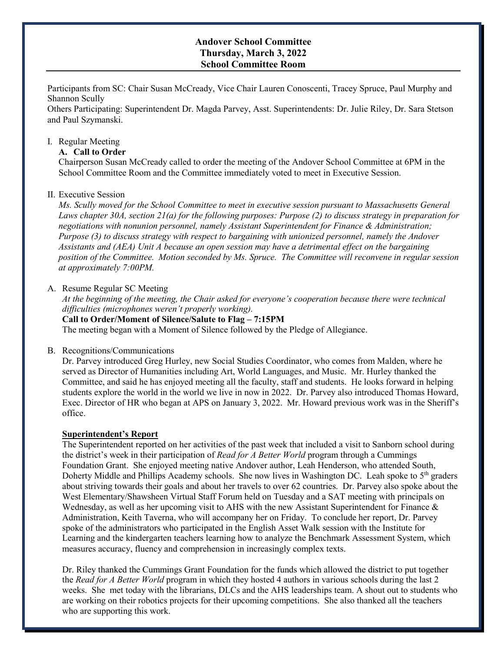### **Andover School Committee Thursday, March 3, 2022 School Committee Room**

Participants from SC: Chair Susan McCready, Vice Chair Lauren Conoscenti, Tracey Spruce, Paul Murphy and Shannon Scully

Others Participating: Superintendent Dr. Magda Parvey, Asst. Superintendents: Dr. Julie Riley, Dr. Sara Stetson and Paul Szymanski.

#### I. Regular Meeting

#### **A. Call to Order**

Chairperson Susan McCready called to order the meeting of the Andover School Committee at 6PM in the School Committee Room and the Committee immediately voted to meet in Executive Session.

#### II. Executive Session

*Ms. Scully moved for the School Committee to meet in executive session pursuant to Massachusetts General Laws chapter 30A, section 21(a) for the following purposes: Purpose (2) to discuss strategy in preparation for negotiations with nonunion personnel, namely Assistant Superintendent for Finance & Administration; Purpose (3) to discuss strategy with respect to bargaining with unionized personnel, namely the Andover Assistants and (AEA) Unit A because an open session may have a detrimental effect on the bargaining position of the Committee. Motion seconded by Ms. Spruce. The Committee will reconvene in regular session at approximately 7:00PM.* 

#### A. Resume Regular SC Meeting

*At the beginning of the meeting, the Chair asked for everyone's cooperation because there were technical difficulties (microphones weren't properly working).* 

#### **Call to Order/Moment of Silence/Salute to Flag – 7:15PM**

The meeting began with a Moment of Silence followed by the Pledge of Allegiance.

#### B. Recognitions/Communications

Dr. Parvey introduced Greg Hurley, new Social Studies Coordinator, who comes from Malden, where he served as Director of Humanities including Art, World Languages, and Music. Mr. Hurley thanked the Committee, and said he has enjoyed meeting all the faculty, staff and students. He looks forward in helping students explore the world in the world we live in now in 2022. Dr. Parvey also introduced Thomas Howard, Exec. Director of HR who began at APS on January 3, 2022. Mr. Howard previous work was in the Sheriff's office.

#### **Superintendent's Report**

The Superintendent reported on her activities of the past week that included a visit to Sanborn school during the district's week in their participation of *Read for A Better World* program through a Cummings Foundation Grant. She enjoyed meeting native Andover author, Leah Henderson, who attended South, Doherty Middle and Phillips Academy schools. She now lives in Washington DC. Leah spoke to 5<sup>th</sup> graders about striving towards their goals and about her travels to over 62 countries. Dr. Parvey also spoke about the West Elementary/Shawsheen Virtual Staff Forum held on Tuesday and a SAT meeting with principals on Wednesday, as well as her upcoming visit to AHS with the new Assistant Superintendent for Finance & Administration, Keith Taverna, who will accompany her on Friday. To conclude her report, Dr. Parvey spoke of the administrators who participated in the English Asset Walk session with the Institute for Learning and the kindergarten teachers learning how to analyze the Benchmark Assessment System, which measures accuracy, fluency and comprehension in increasingly complex texts.

Dr. Riley thanked the Cummings Grant Foundation for the funds which allowed the district to put together the *Read for A Better World* program in which they hosted 4 authors in various schools during the last 2 weeks. She met today with the librarians, DLCs and the AHS leaderships team. A shout out to students who are working on their robotics projects for their upcoming competitions. She also thanked all the teachers who are supporting this work.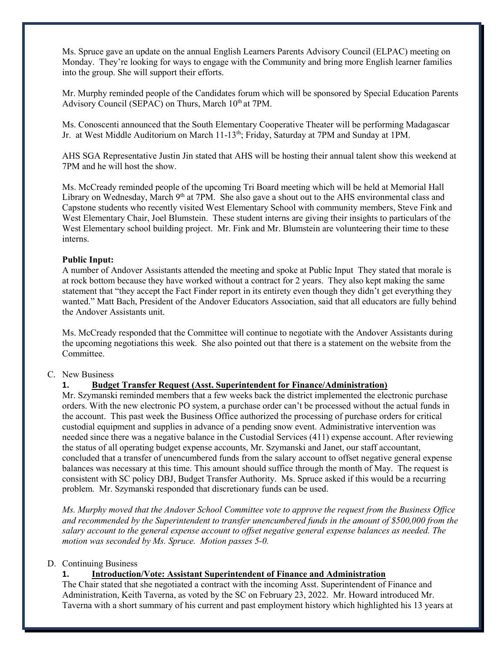Ms. Spruce gave an update on the annual English Learners Parents Advisory Council (ELPAC) meeting on Monday. They're looking for ways to engage with the Community and bring more English learner families into the group. She will support their efforts.

Mr. Murphy reminded people of the Candidates forum which will be sponsored by Special Education Parents Advisory Council (SEPAC) on Thurs, March 10<sup>th</sup> at 7PM.

Ms. Conoscenti announced that the South Elementary Cooperative Theater will be performing Madagascar Jr. at West Middle Auditorium on March 11-13<sup>th</sup>; Friday, Saturday at 7PM and Sunday at 1PM.

AHS SGA Representative Justin Jin stated that AHS will be hosting their annual talent show this weekend at 7PM and he will host the show.

Ms. McCready reminded people of the upcoming Tri Board meeting which will be held at Memorial Hall Library on Wednesday, March 9<sup>th</sup> at 7PM. She also gave a shout out to the AHS environmental class and Capstone students who recently visited West Elementary School with community members, Steve Fink and West Elementary Chair, Joel Blumstein. These student interns are giving their insights to particulars of the West Elementary school building project. Mr. Fink and Mr. Blumstein are volunteering their time to these interns.

### **Public Input:**

A number of Andover Assistants attended the meeting and spoke at Public Input They stated that morale is at rock bottom because they have worked without a contract for 2 years. They also kept making the same statement that "they accept the Fact Finder report in its entirety even though they didn't get everything they wanted." Matt Bach, President of the Andover Educators Association, said that all educators are fully behind the Andover Assistants unit.

Ms. McCready responded that the Committee will continue to negotiate with the Andover Assistants during the upcoming negotiations this week. She also pointed out that there is a statement on the website from the Committee.

### C. New Business

### **1. Budget Transfer Request (Asst. Superintendent for Finance/Administration)**

Mr. Szymanski reminded members that a few weeks back the district implemented the electronic purchase orders. With the new electronic PO system, a purchase order can't be processed without the actual funds in the account. This past week the Business Office authorized the processing of purchase orders for critical custodial equipment and supplies in advance of a pending snow event. Administrative intervention was needed since there was a negative balance in the Custodial Services (411) expense account. After reviewing the status of all operating budget expense accounts, Mr. Szymanski and Janet, our staff accountant, concluded that a transfer of unencumbered funds from the salary account to offset negative general expense balances was necessary at this time. This amount should suffice through the month of May. The request is consistent with SC policy DBJ, Budget Transfer Authority. Ms. Spruce asked if this would be a recurring problem. Mr. Szymanski responded that discretionary funds can be used.

*Ms. Murphy moved that the Andover School Committee vote to approve the request from the Business Office and recommended by the Superintendent to transfer unencumbered funds in the amount of \$500,000 from the salary account to the general expense account to offset negative general expense balances as needed. The motion was seconded by Ms. Spruce. Motion passes 5-0.*

### D. Continuing Business

### **1. Introduction/Vote: Assistant Superintendent of Finance and Administration**

The Chair stated that she negotiated a contract with the incoming Asst. Superintendent of Finance and Administration, Keith Taverna, as voted by the SC on February 23, 2022. Mr. Howard introduced Mr. Taverna with a short summary of his current and past employment history which highlighted his 13 years at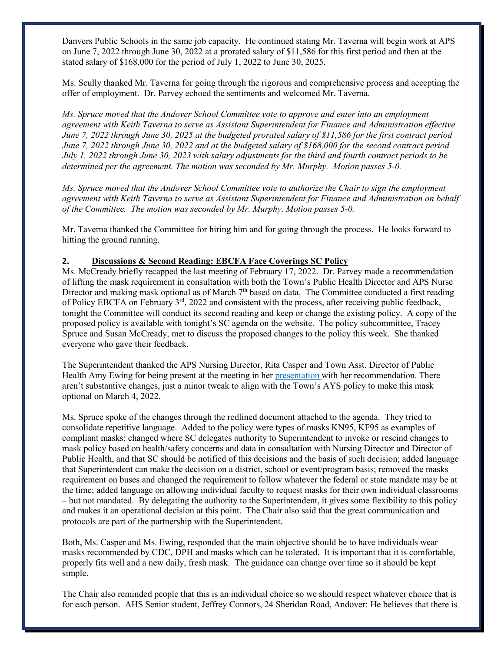Danvers Public Schools in the same job capacity. He continued stating Mr. Taverna will begin work at APS on June 7, 2022 through June 30, 2022 at a prorated salary of \$11,586 for this first period and then at the stated salary of \$168,000 for the period of July 1, 2022 to June 30, 2025.

Ms. Scully thanked Mr. Taverna for going through the rigorous and comprehensive process and accepting the offer of employment. Dr. Parvey echoed the sentiments and welcomed Mr. Taverna.

*Ms. Spruce moved that the Andover School Committee vote to approve and enter into an employment agreement with Keith Taverna to serve as Assistant Superintendent for Finance and Administration effective June 7, 2022 through June 30, 2025 at the budgeted prorated salary of \$11,586 for the first contract period June 7, 2022 through June 30, 2022 and at the budgeted salary of \$168,000 for the second contract period July 1, 2022 through June 30, 2023 with salary adjustments for the third and fourth contract periods to be determined per the agreement. The motion was seconded by Mr. Murphy. Motion passes 5-0.*

*Ms. Spruce moved that the Andover School Committee vote to authorize the Chair to sign the employment agreement with Keith Taverna to serve as Assistant Superintendent for Finance and Administration on behalf of the Committee. The motion was seconded by Mr. Murphy. Motion passes 5-0.* 

Mr. Taverna thanked the Committee for hiring him and for going through the process. He looks forward to hitting the ground running.

### **2. Discussions & Second Reading: EBCFA Face Coverings SC Policy**

Ms. McCready briefly recapped the last meeting of February 17, 2022. Dr. Parvey made a recommendation of lifting the mask requirement in consultation with both the Town's Public Health Director and APS Nurse Director and making mask optional as of March 7<sup>th</sup> based on data. The Committee conducted a first reading of Policy EBCFA on February 3<sup>rd</sup>, 2022 and consistent with the process, after receiving public feedback, tonight the Committee will conduct its second reading and keep or change the existing policy. A copy of the proposed policy is available with tonight's SC agenda on the website. The policy subcommittee, Tracey Spruce and Susan McCready, met to discuss the proposed changes to the policy this week. She thanked everyone who gave their feedback.

The Superintendent thanked the APS Nursing Director, Rita Casper and Town Asst. Director of Public Health Amy Ewing for being present at the meeting in her [presentation](https://www.aps1.net/DocumentCenter/View/12245/COVID-Mask-Recommendation-UPDATED-030322-002?bidId=) with her recommendation. There aren't substantive changes, just a minor tweak to align with the Town's AYS policy to make this mask optional on March 4, 2022.

Ms. Spruce spoke of the changes through the redlined document attached to the agenda. They tried to consolidate repetitive language. Added to the policy were types of masks KN95, KF95 as examples of compliant masks; changed where SC delegates authority to Superintendent to invoke or rescind changes to mask policy based on health/safety concerns and data in consultation with Nursing Director and Director of Public Health, and that SC should be notified of this decisions and the basis of such decision; added language that Superintendent can make the decision on a district, school or event/program basis; removed the masks requirement on buses and changed the requirement to follow whatever the federal or state mandate may be at the time; added language on allowing individual faculty to request masks for their own individual classrooms – but not mandated. By delegating the authority to the Superintendent, it gives some flexibility to this policy and makes it an operational decision at this point. The Chair also said that the great communication and protocols are part of the partnership with the Superintendent.

Both, Ms. Casper and Ms. Ewing, responded that the main objective should be to have individuals wear masks recommended by CDC, DPH and masks which can be tolerated. It is important that it is comfortable, properly fits well and a new daily, fresh mask. The guidance can change over time so it should be kept simple.

The Chair also reminded people that this is an individual choice so we should respect whatever choice that is for each person. AHS Senior student, Jeffrey Connors, 24 Sheridan Road, Andover: He believes that there is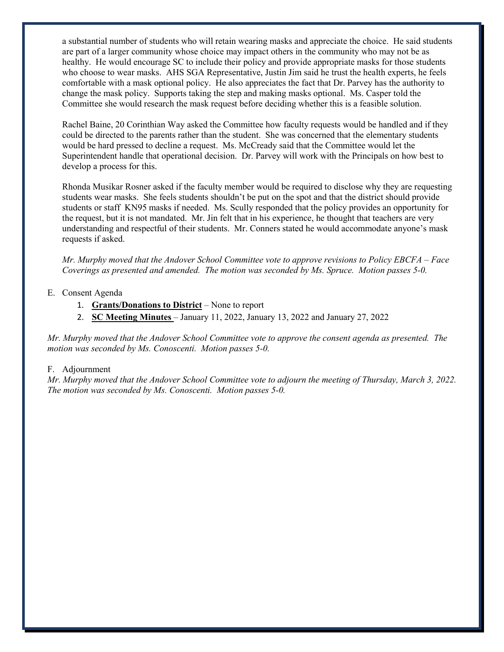a substantial number of students who will retain wearing masks and appreciate the choice. He said students are part of a larger community whose choice may impact others in the community who may not be as healthy. He would encourage SC to include their policy and provide appropriate masks for those students who choose to wear masks. AHS SGA Representative, Justin Jim said he trust the health experts, he feels comfortable with a mask optional policy. He also appreciates the fact that Dr. Parvey has the authority to change the mask policy. Supports taking the step and making masks optional. Ms. Casper told the Committee she would research the mask request before deciding whether this is a feasible solution.

Rachel Baine, 20 Corinthian Way asked the Committee how faculty requests would be handled and if they could be directed to the parents rather than the student. She was concerned that the elementary students would be hard pressed to decline a request. Ms. McCready said that the Committee would let the Superintendent handle that operational decision. Dr. Parvey will work with the Principals on how best to develop a process for this.

Rhonda Musikar Rosner asked if the faculty member would be required to disclose why they are requesting students wear masks. She feels students shouldn't be put on the spot and that the district should provide students or staff KN95 masks if needed. Ms. Scully responded that the policy provides an opportunity for the request, but it is not mandated. Mr. Jin felt that in his experience, he thought that teachers are very understanding and respectful of their students. Mr. Conners stated he would accommodate anyone's mask requests if asked.

*Mr. Murphy moved that the Andover School Committee vote to approve revisions to Policy EBCFA – Face Coverings as presented and amended. The motion was seconded by Ms. Spruce. Motion passes 5-0.* 

### E. Consent Agenda

- 1. **Grants/Donations to District** None to report
- 2. **SC Meeting Minutes**  January 11, 2022, January 13, 2022 and January 27, 2022

*Mr. Murphy moved that the Andover School Committee vote to approve the consent agenda as presented. The motion was seconded by Ms. Conoscenti. Motion passes 5-0.* 

#### F. Adjournment

*Mr. Murphy moved that the Andover School Committee vote to adjourn the meeting of Thursday, March 3, 2022. The motion was seconded by Ms. Conoscenti. Motion passes 5-0.*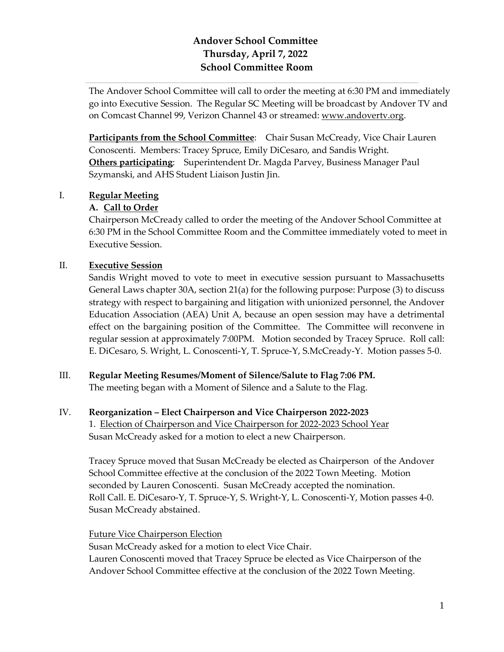# **Andover School Committee Thursday, April 7, 2022 School Committee Room**

The Andover School Committee will call to order the meeting at 6:30 PM and immediately go into Executive Session. The Regular SC Meeting will be broadcast by Andover TV and on Comcast Channel 99, Verizon Channel 43 or streamed: [www.andovertv.org.](http://www.andovertv.org/)

**Participants from the School Committee**: Chair Susan McCready, Vice Chair Lauren Conoscenti. Members: Tracey Spruce, Emily DiCesaro, and Sandis Wright. **Others participating**: Superintendent Dr. Magda Parvey, Business Manager Paul Szymanski, and AHS Student Liaison Justin Jin.

# I. **Regular Meeting**

# **A. Call to Order**

Chairperson McCready called to order the meeting of the Andover School Committee at 6:30 PM in the School Committee Room and the Committee immediately voted to meet in Executive Session.

# II. **Executive Session**

Sandis Wright moved to vote to meet in executive session pursuant to Massachusetts General Laws chapter 30A, section 21(a) for the following purpose: Purpose (3) to discuss strategy with respect to bargaining and litigation with unionized personnel, the Andover Education Association (AEA) Unit A, because an open session may have a detrimental effect on the bargaining position of the Committee. The Committee will reconvene in regular session at approximately 7:00PM. Motion seconded by Tracey Spruce. Roll call: E. DiCesaro, S. Wright, L. Conoscenti-Y, T. Spruce-Y, S.McCready-Y. Motion passes 5-0.

# III. **Regular Meeting Resumes/Moment of Silence/Salute to Flag 7:06 PM.**

The meeting began with a Moment of Silence and a Salute to the Flag.

# IV. **Reorganization – Elect Chairperson and Vice Chairperson 2022-2023**

1. Election of Chairperson and Vice Chairperson for 2022-2023 School Year Susan McCready asked for a motion to elect a new Chairperson.

Tracey Spruce moved that Susan McCready be elected as Chairperson of the Andover School Committee effective at the conclusion of the 2022 Town Meeting. Motion seconded by Lauren Conoscenti. Susan McCready accepted the nomination. Roll Call. E. DiCesaro-Y, T. Spruce-Y, S. Wright-Y, L. Conoscenti-Y, Motion passes 4-0. Susan McCready abstained.

# Future Vice Chairperson Election

Susan McCready asked for a motion to elect Vice Chair.

Lauren Conoscenti moved that Tracey Spruce be elected as Vice Chairperson of the Andover School Committee effective at the conclusion of the 2022 Town Meeting.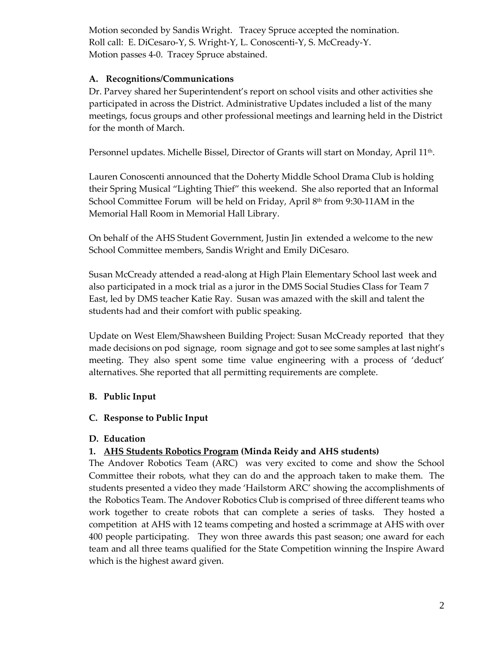Motion seconded by Sandis Wright. Tracey Spruce accepted the nomination. Roll call: E. DiCesaro-Y, S. Wright-Y, L. Conoscenti-Y, S. McCready-Y. Motion passes 4-0. Tracey Spruce abstained.

# **A. Recognitions/Communications**

Dr. Parvey shared her Superintendent's report on school visits and other activities she participated in across the District. Administrative Updates included a list of the many meetings, focus groups and other professional meetings and learning held in the District for the month of March.

Personnel updates. Michelle Bissel, Director of Grants will start on Monday, April 11<sup>th</sup>.

Lauren Conoscenti announced that the Doherty Middle School Drama Club is holding their Spring Musical "Lighting Thief" this weekend. She also reported that an Informal School Committee Forum will be held on Friday, April  $8<sup>th</sup>$  from 9:30-11AM in the Memorial Hall Room in Memorial Hall Library.

On behalf of the AHS Student Government, Justin Jin extended a welcome to the new School Committee members, Sandis Wright and Emily DiCesaro.

Susan McCready attended a read-along at High Plain Elementary School last week and also participated in a mock trial as a juror in the DMS Social Studies Class for Team 7 East, led by DMS teacher Katie Ray. Susan was amazed with the skill and talent the students had and their comfort with public speaking.

Update on West Elem/Shawsheen Building Project: Susan McCready reported that they made decisions on pod signage, room signage and got to see some samples at last night's meeting. They also spent some time value engineering with a process of 'deduct' alternatives. She reported that all permitting requirements are complete.

# **B. Public Input**

# **C. Response to Public Input**

# **D. Education**

# **1. AHS Students Robotics Program (Minda Reidy and AHS students)**

The Andover Robotics Team (ARC) was very excited to come and show the School Committee their robots, what they can do and the approach taken to make them. The students presented a video they made 'Hailstorm ARC' showing the accomplishments of the Robotics Team. The Andover Robotics Club is comprised of three different teams who work together to create robots that can complete a series of tasks. They hosted a competition at AHS with 12 teams competing and hosted a scrimmage at AHS with over 400 people participating. They won three awards this past season; one award for each team and all three teams qualified for the State Competition winning the Inspire Award which is the highest award given.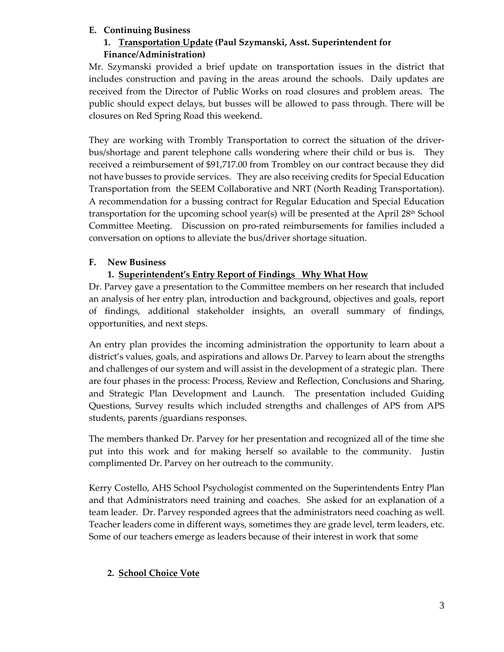# **E. Continuing Business**

### **1. Transportation Update (Paul Szymanski, Asst. Superintendent for Finance/Administration)**

Mr. Szymanski provided a brief update on transportation issues in the district that includes construction and paving in the areas around the schools. Daily updates are received from the Director of Public Works on road closures and problem areas. The public should expect delays, but busses will be allowed to pass through. There will be closures on Red Spring Road this weekend.

They are working with Trombly Transportation to correct the situation of the driverbus/shortage and parent telephone calls wondering where their child or bus is. They received a reimbursement of \$91,717.00 from Trombley on our contract because they did not have busses to provide services. They are also receiving credits for Special Education Transportation from the SEEM Collaborative and NRT (North Reading Transportation). A recommendation for a bussing contract for Regular Education and Special Education transportation for the upcoming school year(s) will be presented at the April  $28<sup>th</sup>$  School Committee Meeting. Discussion on pro-rated reimbursements for families included a conversation on options to alleviate the bus/driver shortage situation.

# **F. New Business**

# **1. [Superintendent's Entry Report of Findings](https://www.aps1.net/2333/Dr-Parveys-Entry-Plan-for-2021-22-School) Why What How**

Dr. Parvey gave a presentation to the Committee members on her research that included an analysis of her entry plan, introduction and background, objectives and goals, report of findings, additional stakeholder insights, an overall summary of findings, opportunities, and next steps.

An entry plan provides the incoming administration the opportunity to learn about a district's values, goals, and aspirations and allows Dr. Parvey to learn about the strengths and challenges of our system and will assist in the development of a strategic plan. There are four phases in the process: Process, Review and Reflection, Conclusions and Sharing, and Strategic Plan Development and Launch. The presentation included Guiding Questions, Survey results which included strengths and challenges of APS from APS students, parents /guardians responses.

The members thanked Dr. Parvey for her presentation and recognized all of the time she put into this work and for making herself so available to the community. Justin complimented Dr. Parvey on her outreach to the community.

Kerry Costello, AHS School Psychologist commented on the Superintendents Entry Plan and that Administrators need training and coaches. She asked for an explanation of a team leader. Dr. Parvey responded agrees that the administrators need coaching as well. Teacher leaders come in different ways, sometimes they are grade level, term leaders, etc. Some of our teachers emerge as leaders because of their interest in work that some

# **2. School Choice Vote**